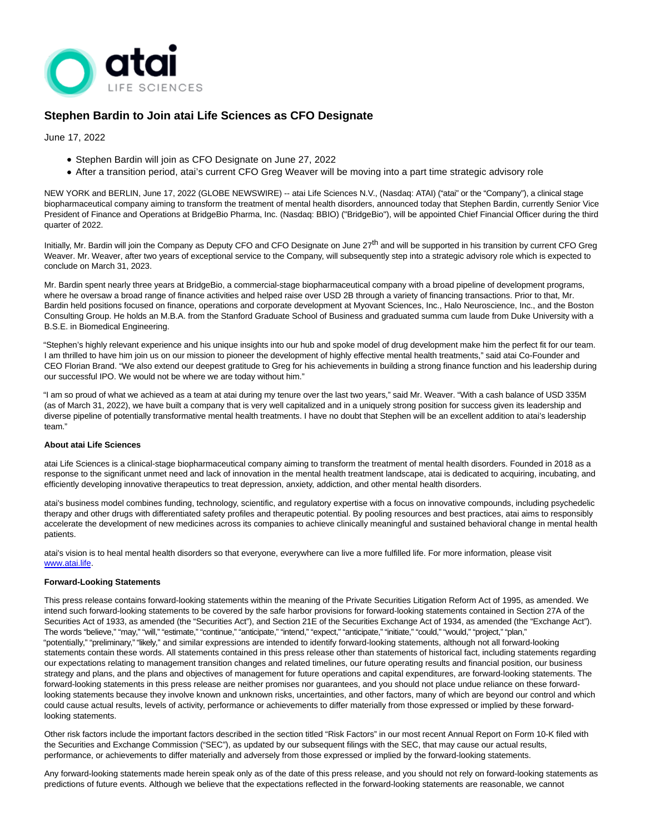

# **Stephen Bardin to Join atai Life Sciences as CFO Designate**

June 17, 2022

- Stephen Bardin will join as CFO Designate on June 27, 2022
- After a transition period, atai's current CFO Greg Weaver will be moving into a part time strategic advisory role

NEW YORK and BERLIN, June 17, 2022 (GLOBE NEWSWIRE) -- atai Life Sciences N.V., (Nasdaq: ATAI) ("atai" or the "Company"), a clinical stage biopharmaceutical company aiming to transform the treatment of mental health disorders, announced today that Stephen Bardin, currently Senior Vice President of Finance and Operations at BridgeBio Pharma, Inc. (Nasdaq: BBIO) ("BridgeBio"), will be appointed Chief Financial Officer during the third quarter of 2022.

Initially, Mr. Bardin will join the Company as Deputy CFO and CFO Designate on June 27<sup>th</sup> and will be supported in his transition by current CFO Greg Weaver. Mr. Weaver, after two years of exceptional service to the Company, will subsequently step into a strategic advisory role which is expected to conclude on March 31, 2023.

Mr. Bardin spent nearly three years at BridgeBio, a commercial-stage biopharmaceutical company with a broad pipeline of development programs, where he oversaw a broad range of finance activities and helped raise over USD 2B through a variety of financing transactions. Prior to that, Mr. Bardin held positions focused on finance, operations and corporate development at Myovant Sciences, Inc., Halo Neuroscience, Inc., and the Boston Consulting Group. He holds an M.B.A. from the Stanford Graduate School of Business and graduated summa cum laude from Duke University with a B.S.E. in Biomedical Engineering.

"Stephen's highly relevant experience and his unique insights into our hub and spoke model of drug development make him the perfect fit for our team. I am thrilled to have him join us on our mission to pioneer the development of highly effective mental health treatments," said atai Co-Founder and CEO Florian Brand. "We also extend our deepest gratitude to Greg for his achievements in building a strong finance function and his leadership during our successful IPO. We would not be where we are today without him."

"I am so proud of what we achieved as a team at atai during my tenure over the last two years," said Mr. Weaver. "With a cash balance of USD 335M (as of March 31, 2022), we have built a company that is very well capitalized and in a uniquely strong position for success given its leadership and diverse pipeline of potentially transformative mental health treatments. I have no doubt that Stephen will be an excellent addition to atai's leadership team."

## **About atai Life Sciences**

atai Life Sciences is a clinical-stage biopharmaceutical company aiming to transform the treatment of mental health disorders. Founded in 2018 as a response to the significant unmet need and lack of innovation in the mental health treatment landscape, atai is dedicated to acquiring, incubating, and efficiently developing innovative therapeutics to treat depression, anxiety, addiction, and other mental health disorders.

atai's business model combines funding, technology, scientific, and regulatory expertise with a focus on innovative compounds, including psychedelic therapy and other drugs with differentiated safety profiles and therapeutic potential. By pooling resources and best practices, atai aims to responsibly accelerate the development of new medicines across its companies to achieve clinically meaningful and sustained behavioral change in mental health patients.

atai's vision is to heal mental health disorders so that everyone, everywhere can live a more fulfilled life. For more information, please visit [www.atai.life.](https://www.globenewswire.com/Tracker?data=oMzw-vXH_Z_6RZMsxix-e5vAAFOidJajcvlGBJGliOuv0wmNYCKvWwRDF-FS9tq9g7QJUfqYbdThPkmJd68ysQ==) 

### **Forward-Looking Statements**

This press release contains forward-looking statements within the meaning of the Private Securities Litigation Reform Act of 1995, as amended. We intend such forward-looking statements to be covered by the safe harbor provisions for forward-looking statements contained in Section 27A of the Securities Act of 1933, as amended (the "Securities Act"), and Section 21E of the Securities Exchange Act of 1934, as amended (the "Exchange Act"). The words "believe," "may," "will," "estimate," "continue," "anticipate," "intend," "expect," "anticipate," "initiate," "could," "would," "project," "plan," "potentially," "preliminary," "likely," and similar expressions are intended to identify forward-looking statements, although not all forward-looking statements contain these words. All statements contained in this press release other than statements of historical fact, including statements regarding our expectations relating to management transition changes and related timelines, our future operating results and financial position, our business strategy and plans, and the plans and objectives of management for future operations and capital expenditures, are forward-looking statements. The forward-looking statements in this press release are neither promises nor guarantees, and you should not place undue reliance on these forwardlooking statements because they involve known and unknown risks, uncertainties, and other factors, many of which are beyond our control and which could cause actual results, levels of activity, performance or achievements to differ materially from those expressed or implied by these forwardlooking statements.

Other risk factors include the important factors described in the section titled "Risk Factors" in our most recent Annual Report on Form 10-K filed with the Securities and Exchange Commission ("SEC"), as updated by our subsequent filings with the SEC, that may cause our actual results, performance, or achievements to differ materially and adversely from those expressed or implied by the forward-looking statements.

Any forward-looking statements made herein speak only as of the date of this press release, and you should not rely on forward-looking statements as predictions of future events. Although we believe that the expectations reflected in the forward-looking statements are reasonable, we cannot